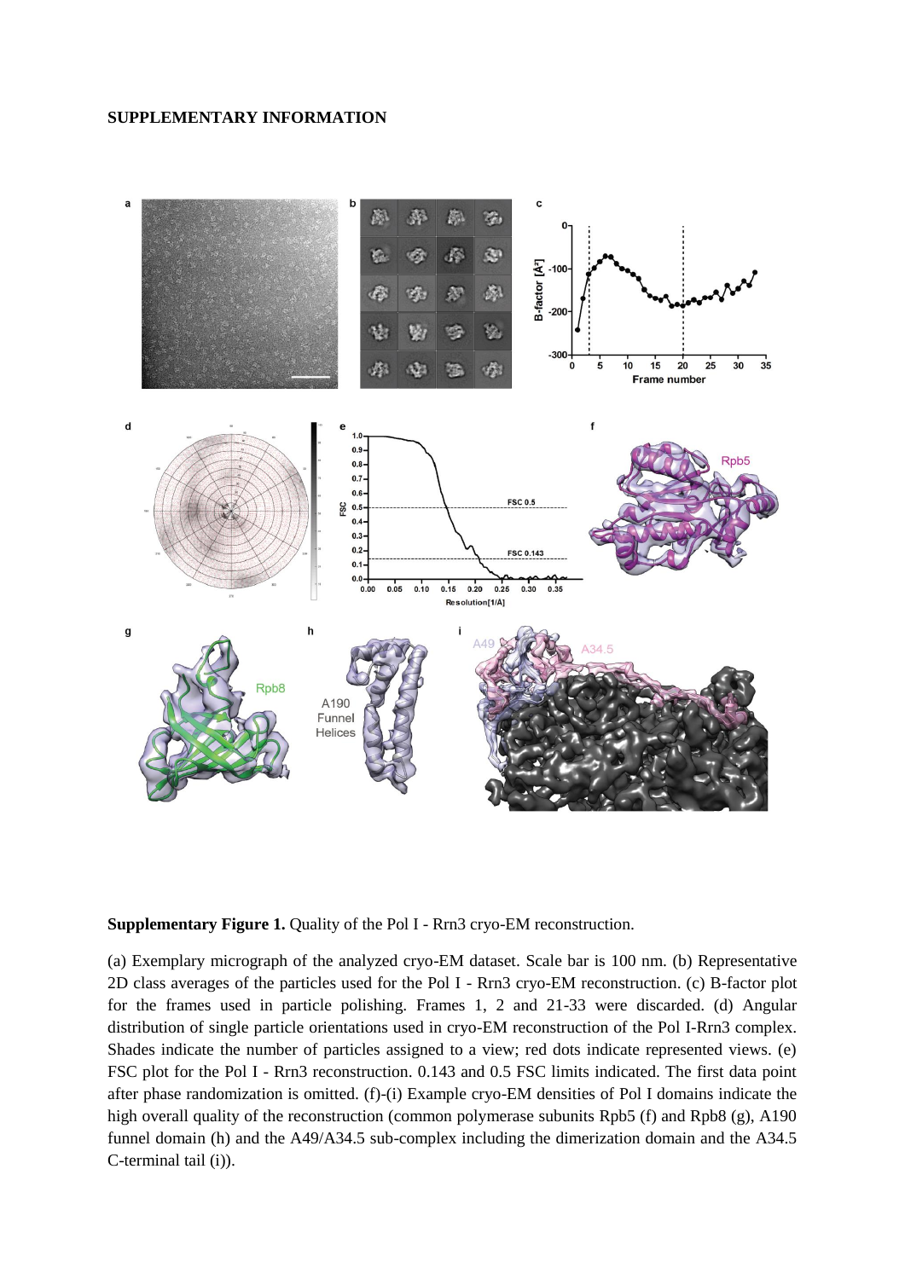## **SUPPLEMENTARY INFORMATION**



## **Supplementary Figure 1.** Quality of the Pol I - Rrn3 cryo-EM reconstruction.

(a) Exemplary micrograph of the analyzed cryo-EM dataset. Scale bar is 100 nm. (b) Representative 2D class averages of the particles used for the Pol I - Rrn3 cryo-EM reconstruction. (c) B-factor plot for the frames used in particle polishing. Frames 1, 2 and 21-33 were discarded. (d) Angular distribution of single particle orientations used in cryo-EM reconstruction of the Pol I-Rrn3 complex. Shades indicate the number of particles assigned to a view; red dots indicate represented views. (e) FSC plot for the Pol I - Rrn3 reconstruction. 0.143 and 0.5 FSC limits indicated. The first data point after phase randomization is omitted. (f)-(i) Example cryo-EM densities of Pol I domains indicate the high overall quality of the reconstruction (common polymerase subunits Rpb5 (f) and Rpb8 (g), A190 funnel domain (h) and the A49/A34.5 sub-complex including the dimerization domain and the A34.5 C-terminal tail (i)).